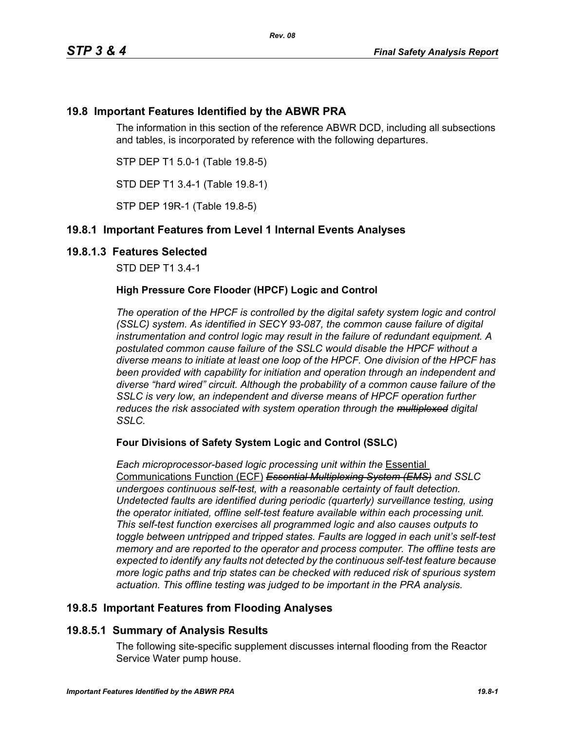# **19.8 Important Features Identified by the ABWR PRA**

The information in this section of the reference ABWR DCD, including all subsections and tables, is incorporated by reference with the following departures.

STP DEP T1 5.0-1 (Table 19.8-5)

STD DEP T1 3.4-1 (Table 19.8-1)

STP DEP 19R-1 (Table 19.8-5)

# **19.8.1 Important Features from Level 1 Internal Events Analyses**

### **19.8.1.3 Features Selected**

STD DEP T1 3.4-1

### **High Pressure Core Flooder (HPCF) Logic and Control**

*The operation of the HPCF is controlled by the digital safety system logic and control (SSLC) system. As identified in SECY 93-087, the common cause failure of digital instrumentation and control logic may result in the failure of redundant equipment. A postulated common cause failure of the SSLC would disable the HPCF without a diverse means to initiate at least one loop of the HPCF. One division of the HPCF has been provided with capability for initiation and operation through an independent and diverse "hard wired" circuit. Although the probability of a common cause failure of the SSLC is very low, an independent and diverse means of HPCF operation further reduces the risk associated with system operation through the multiplexed digital SSLC.*

### **Four Divisions of Safety System Logic and Control (SSLC)**

*Each microprocessor-based logic processing unit within the* Essential Communications Function (ECF) *Essential Multiplexing System (EMS) and SSLC undergoes continuous self-test, with a reasonable certainty of fault detection. Undetected faults are identified during periodic (quarterly) surveillance testing, using the operator initiated, offline self-test feature available within each processing unit. This self-test function exercises all programmed logic and also causes outputs to toggle between untripped and tripped states. Faults are logged in each unit's self-test memory and are reported to the operator and process computer. The offline tests are expected to identify any faults not detected by the continuous self-test feature because more logic paths and trip states can be checked with reduced risk of spurious system actuation. This offline testing was judged to be important in the PRA analysis.*

# **19.8.5 Important Features from Flooding Analyses**

# **19.8.5.1 Summary of Analysis Results**

The following site-specific supplement discusses internal flooding from the Reactor Service Water pump house.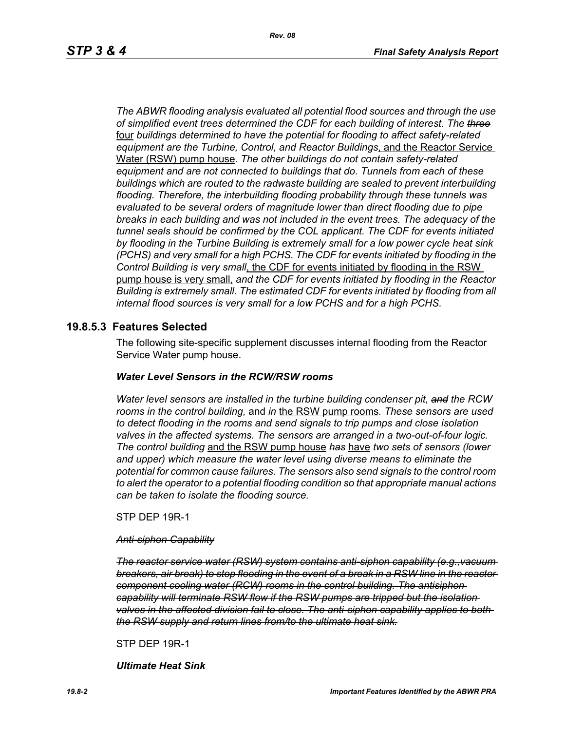*The ABWR flooding analysis evaluated all potential flood sources and through the use of simplified event trees determined the CDF for each building of interest. The three* four *buildings determined to have the potential for flooding to affect safety-related equipment are the Turbine, Control, and Reactor Buildings*, and the Reactor Service Water (RSW) pump house*. The other buildings do not contain safety-related equipment and are not connected to buildings that do. Tunnels from each of these buildings which are routed to the radwaste building are sealed to prevent interbuilding flooding. Therefore, the interbuilding flooding probability through these tunnels was evaluated to be several orders of magnitude lower than direct flooding due to pipe breaks in each building and was not included in the event trees. The adequacy of the tunnel seals should be confirmed by the COL applicant. The CDF for events initiated by flooding in the Turbine Building is extremely small for a low power cycle heat sink (PCHS) and very small for a high PCHS. The CDF for events initiated by flooding in the Control Building is very small*, the CDF for events initiated by flooding in the RSW pump house is very small, *and the CDF for events initiated by flooding in the Reactor Building is extremely small. The estimated CDF for events initiated by flooding from all internal flood sources is very small for a low PCHS and for a high PCHS.*

### **19.8.5.3 Features Selected**

The following site-specific supplement discusses internal flooding from the Reactor Service Water pump house.

#### *Water Level Sensors in the RCW/RSW rooms*

*Water level sensors are installed in the turbine building condenser pit, and the RCW rooms in the control building,* and *in* the RSW pump rooms*. These sensors are used to detect flooding in the rooms and send signals to trip pumps and close isolation valves in the affected systems. The sensors are arranged in a two-out-of-four logic. The control building* and the RSW pump house *has* have *two sets of sensors (lower and upper) which measure the water level using diverse means to eliminate the potential for common cause failures. The sensors also send signals to the control room to alert the operator to a potential flooding condition so that appropriate manual actions can be taken to isolate the flooding source.*

STP DEP 19R-1

#### *Anti-siphon Capability*

*The reactor service water (RSW) system contains anti-siphon capability (e.g.,vacuum breakers, air break) to stop flooding in the event of a break in a RSW line in the reactor component cooling water (RCW) rooms in the control building. The antisiphon capability will terminate RSW flow if the RSW pumps are tripped but the isolation valves in the affected division fail to close. The anti-siphon capability applies to both the RSW supply and return lines from/to the ultimate heat sink.*

STP DEP 19R-1

*Ultimate Heat Sink*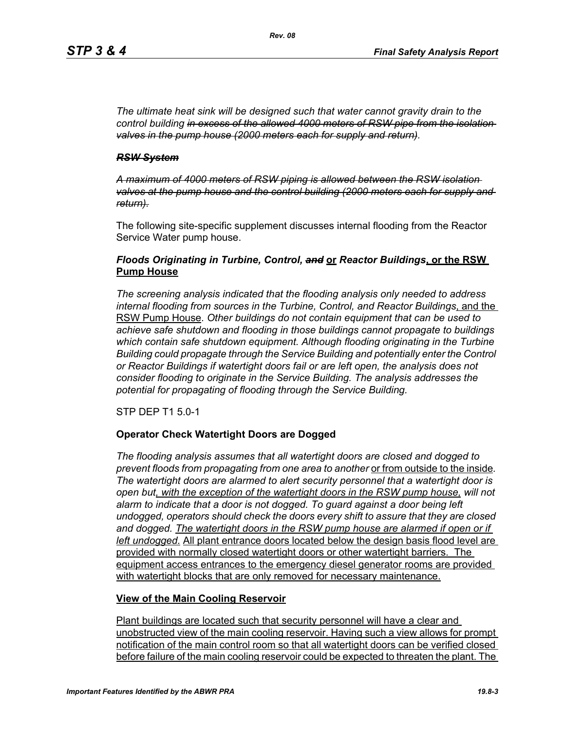*The ultimate heat sink will be designed such that water cannot gravity drain to the control building in excess of the allowed 4000 meters of RSW pipe from the isolation valves in the pump house (2000 meters each for supply and return).*

#### *RSW System*

*A maximum of 4000 meters of RSW piping is allowed between the RSW isolation valves at the pump house and the control building (2000 meters each for supply and return).*

The following site-specific supplement discusses internal flooding from the Reactor Service Water pump house.

### *Floods Originating in Turbine, Control, and* **or** *Reactor Buildings***, or the RSW Pump House**

*The screening analysis indicated that the flooding analysis only needed to address internal flooding from sources in the Turbine, Control, and Reactor Buildings*, and the RSW Pump House. *Other buildings do not contain equipment that can be used to achieve safe shutdown and flooding in those buildings cannot propagate to buildings which contain safe shutdown equipment. Although flooding originating in the Turbine Building could propagate through the Service Building and potentially enter the Control or Reactor Buildings if watertight doors fail or are left open, the analysis does not consider flooding to originate in the Service Building. The analysis addresses the potential for propagating of flooding through the Service Building.*

STP DEP T1 5.0-1

### **Operator Check Watertight Doors are Dogged**

*The flooding analysis assumes that all watertight doors are closed and dogged to prevent floods from propagating from one area to another* or from outside to the inside*. The watertight doors are alarmed to alert security personnel that a watertight door is open but, with the exception of the watertight doors in the RSW pump house, will not alarm to indicate that a door is not dogged. To guard against a door being left undogged, operators should check the doors every shift to assure that they are closed*  and dogged. The watertight doors in the RSW pump house are alarmed if open or if *left undogged.* All plant entrance doors located below the design basis flood level are provided with normally closed watertight doors or other watertight barriers. The equipment access entrances to the emergency diesel generator rooms are provided with watertight blocks that are only removed for necessary maintenance.

### **View of the Main Cooling Reservoir**

Plant buildings are located such that security personnel will have a clear and unobstructed view of the main cooling reservoir. Having such a view allows for prompt notification of the main control room so that all watertight doors can be verified closed before failure of the main cooling reservoir could be expected to threaten the plant. The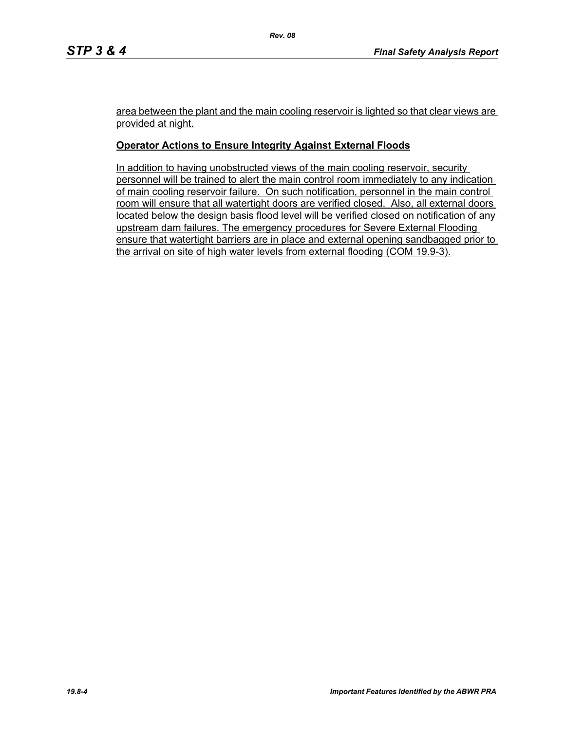area between the plant and the main cooling reservoir is lighted so that clear views are provided at night.

### **Operator Actions to Ensure Integrity Against External Floods**

In addition to having unobstructed views of the main cooling reservoir, security personnel will be trained to alert the main control room immediately to any indication of main cooling reservoir failure. On such notification, personnel in the main control room will ensure that all watertight doors are verified closed. Also, all external doors located below the design basis flood level will be verified closed on notification of any upstream dam failures. The emergency procedures for Severe External Flooding ensure that watertight barriers are in place and external opening sandbagged prior to the arrival on site of high water levels from external flooding (COM 19.9-3).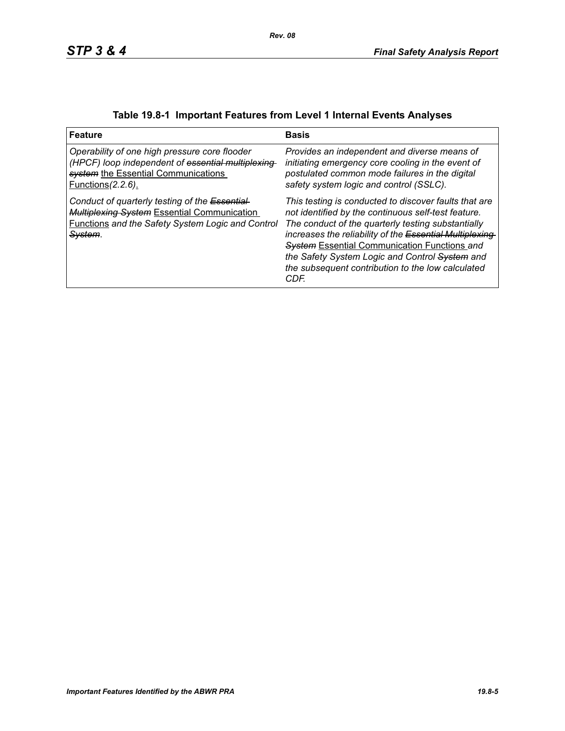| <b>Feature</b>                                                                                                                                                                          | <b>Basis</b>                                                                                                                                                                                                                                                                                                                                                                                         |
|-----------------------------------------------------------------------------------------------------------------------------------------------------------------------------------------|------------------------------------------------------------------------------------------------------------------------------------------------------------------------------------------------------------------------------------------------------------------------------------------------------------------------------------------------------------------------------------------------------|
| Operability of one high pressure core flooder<br>(HPCF) loop independent of essential multiplexing<br>system the Essential Communications<br><u>Functions</u> (2.2.6).                  | Provides an independent and diverse means of<br>initiating emergency core cooling in the event of<br>postulated common mode failures in the digital<br>safety system logic and control (SSLC).                                                                                                                                                                                                       |
| Conduct of quarterly testing of the Essential-<br><b>Multiplexing System Essential Communication</b><br><b>Functions and the Safety System Logic and Control</b><br><del>System</del> . | This testing is conducted to discover faults that are<br>not identified by the continuous self-test feature.<br>The conduct of the quarterly testing substantially<br>increases the reliability of the Essential Multiplexing-<br><b>System Essential Communication Functions and</b><br>the Safety System Logic and Control System and<br>the subsequent contribution to the low calculated<br>CDF. |